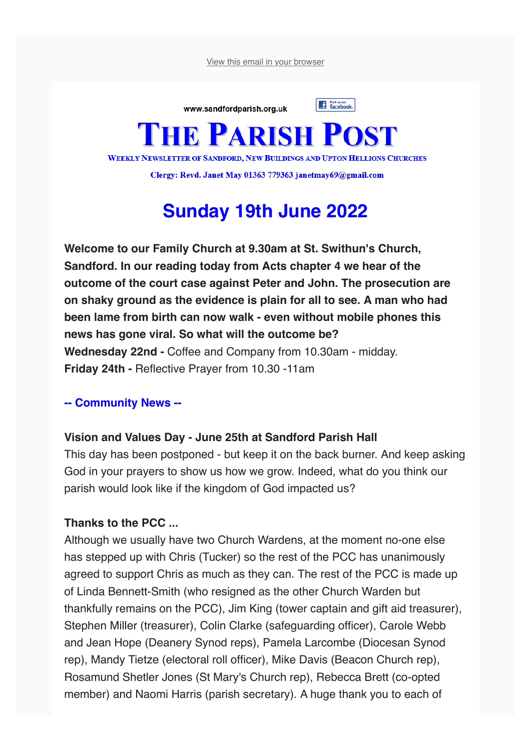View this email in your browser



Clergy: Revd. Janet May 01363 779363 janetmay69@gmail.com

# **Sunday 19th June 2022**

**Welcome to our Family Church at 9.30am at St. Swithun's Church, Sandford. In our reading today from Acts chapter 4 we hear of the outcome of the court case against Peter and John. The prosecution are on shaky ground as the evidence is plain for all to see. A man who had been lame from birth can now walk - even without mobile phones this news has gone viral. So what will the outcome be? Wednesday 22nd -** Coffee and Company from 10.30am - midday. **Friday 24th -** Reflective Prayer from 10.30 -11am

#### **-- Community News --**

#### **Vision and Values Day - June 25th at Sandford Parish Hall**

This day has been postponed - but keep it on the back burner. And keep asking God in your prayers to show us how we grow. Indeed, what do you think our parish would look like if the kingdom of God impacted us?

#### **Thanks to the PCC ...**

Although we usually have two Church Wardens, at the moment no-one else has stepped up with Chris (Tucker) so the rest of the PCC has unanimously agreed to support Chris as much as they can. The rest of the PCC is made up of Linda Bennett-Smith (who resigned as the other Church Warden but thankfully remains on the PCC), Jim King (tower captain and gift aid treasurer), Stephen Miller (treasurer), Colin Clarke (safeguarding officer), Carole Webb and Jean Hope (Deanery Synod reps), Pamela Larcombe (Diocesan Synod rep), Mandy Tietze (electoral roll officer), Mike Davis (Beacon Church rep), Rosamund Shetler Jones (St Mary's Church rep), Rebecca Brett (co-opted member) and Naomi Harris (parish secretary). A huge thank you to each of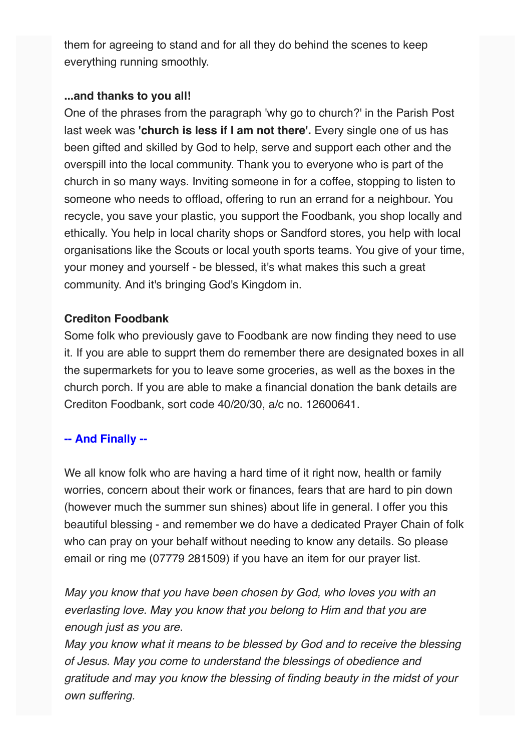them for agreeing to stand and for all they do behind the scenes to keep everything running smoothly.

### **...and thanks to you all!**

One of the phrases from the paragraph 'why go to church?' in the Parish Post last week was **'church is less if I am not there'.** Every single one of us has been gifted and skilled by God to help, serve and support each other and the overspill into the local community. Thank you to everyone who is part of the church in so many ways. Inviting someone in for a coffee, stopping to listen to someone who needs to offload, offering to run an errand for a neighbour. You recycle, you save your plastic, you support the Foodbank, you shop locally and ethically. You help in local charity shops or Sandford stores, you help with local organisations like the Scouts or local youth sports teams. You give of your time, your money and yourself - be blessed, it's what makes this such a great community. And it's bringing God's Kingdom in.

## **Crediton Foodbank**

Some folk who previously gave to Foodbank are now finding they need to use it. If you are able to supprt them do remember there are designated boxes in all the supermarkets for you to leave some groceries, as well as the boxes in the church porch. If you are able to make a financial donation the bank details are Crediton Foodbank, sort code 40/20/30, a/c no. 12600641.

# **-- And Finally --**

We all know folk who are having a hard time of it right now, health or family worries, concern about their work or finances, fears that are hard to pin down (however much the summer sun shines) about life in general. I offer you this beautiful blessing - and remember we do have a dedicated Prayer Chain of folk who can pray on your behalf without needing to know any details. So please email or ring me (07779 281509) if you have an item for our prayer list.

*May you know that you have been chosen by God, who loves you with an everlasting love. May you know that you belong to Him and that you are enough just as you are.*

*May you know what it means to be blessed by God and to receive the blessing of Jesus. May you come to understand the blessings of obedience and gratitude and may you know the blessing of finding beauty in the midst of your own suffering.*